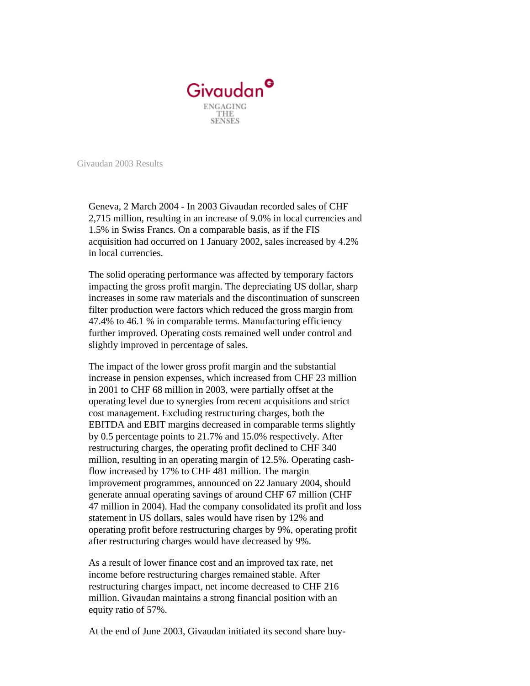

Givaudan 2003 Results

Geneva, 2 March 2004 - In 2003 Givaudan recorded sales of CHF 2,715 million, resulting in an increase of 9.0% in local currencies and 1.5% in Swiss Francs. On a comparable basis, as if the FIS acquisition had occurred on 1 January 2002, sales increased by 4.2% in local currencies.

The solid operating performance was affected by temporary factors impacting the gross profit margin. The depreciating US dollar, sharp increases in some raw materials and the discontinuation of sunscreen filter production were factors which reduced the gross margin from 47.4% to 46.1 % in comparable terms. Manufacturing efficiency further improved. Operating costs remained well under control and slightly improved in percentage of sales.

The impact of the lower gross profit margin and the substantial increase in pension expenses, which increased from CHF 23 million in 2001 to CHF 68 million in 2003, were partially offset at the operating level due to synergies from recent acquisitions and strict cost management. Excluding restructuring charges, both the EBITDA and EBIT margins decreased in comparable terms slightly by 0.5 percentage points to 21.7% and 15.0% respectively. After restructuring charges, the operating profit declined to CHF 340 million, resulting in an operating margin of 12.5%. Operating cashflow increased by 17% to CHF 481 million. The margin improvement programmes, announced on 22 January 2004, should generate annual operating savings of around CHF 67 million (CHF 47 million in 2004). Had the company consolidated its profit and loss statement in US dollars, sales would have risen by 12% and operating profit before restructuring charges by 9%, operating profit after restructuring charges would have decreased by 9%.

As a result of lower finance cost and an improved tax rate, net income before restructuring charges remained stable. After restructuring charges impact, net income decreased to CHF 216 million. Givaudan maintains a strong financial position with an equity ratio of 57%.

At the end of June 2003, Givaudan initiated its second share buy-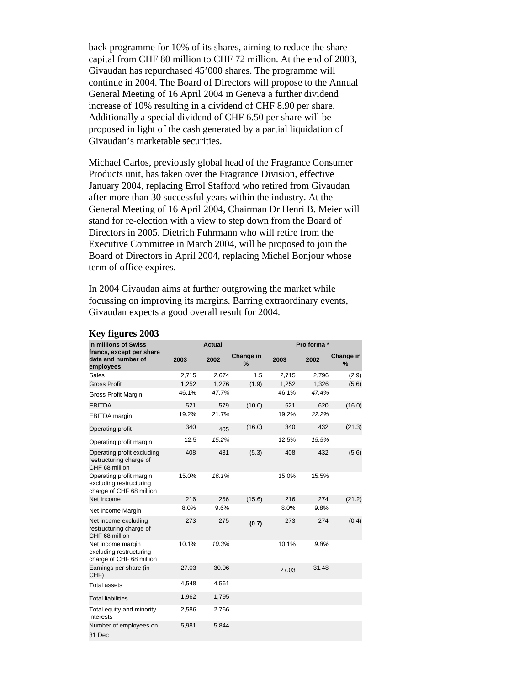back programme for 10% of its shares, aiming to reduce the share capital from CHF 80 million to CHF 72 million. At the end of 2003, Givaudan has repurchased 45'000 shares. The programme will continue in 2004. The Board of Directors will propose to the Annual General Meeting of 16 April 2004 in Geneva a further dividend increase of 10% resulting in a dividend of CHF 8.90 per share. Additionally a special dividend of CHF 6.50 per share will be proposed in light of the cash generated by a partial liquidation of Givaudan's marketable securities.

Michael Carlos, previously global head of the Fragrance Consumer Products unit, has taken over the Fragrance Division, effective January 2004, replacing Errol Stafford who retired from Givaudan after more than 30 successful years within the industry. At the General Meeting of 16 April 2004, Chairman Dr Henri B. Meier will stand for re-election with a view to step down from the Board of Directors in 2005. Dietrich Fuhrmann who will retire from the Executive Committee in March 2004, will be proposed to join the Board of Directors in April 2004, replacing Michel Bonjour whose term of office expires.

In 2004 Givaudan aims at further outgrowing the market while focussing on improving its margins. Barring extraordinary events, Givaudan expects a good overall result for 2004.

| in millions of Swiss                                                           | <b>Actual</b> |       |                            | Pro forma * |       |                   |
|--------------------------------------------------------------------------------|---------------|-------|----------------------------|-------------|-------|-------------------|
| francs, except per share<br>data and number of<br>employees                    | 2003          | 2002  | Change in<br>$\frac{9}{6}$ | 2003        | 2002  | Change in<br>$\%$ |
| <b>Sales</b>                                                                   | 2,715         | 2,674 | 1.5                        | 2,715       | 2,796 | (2.9)             |
| <b>Gross Profit</b>                                                            | 1,252         | 1,276 | (1.9)                      | 1,252       | 1,326 | (5.6)             |
| <b>Gross Profit Margin</b>                                                     | 46.1%         | 47.7% |                            | 46.1%       | 47.4% |                   |
| <b>EBITDA</b>                                                                  | 521           | 579   | (10.0)                     | 521         | 620   | (16.0)            |
| <b>EBITDA</b> margin                                                           | 19.2%         | 21.7% |                            | 19.2%       | 22.2% |                   |
| Operating profit                                                               | 340           | 405   | (16.0)                     | 340         | 432   | (21.3)            |
| Operating profit margin                                                        | 12.5          | 15.2% |                            | 12.5%       | 15.5% |                   |
| Operating profit excluding<br>restructuring charge of<br>CHF 68 million        | 408           | 431   | (5.3)                      | 408         | 432   | (5.6)             |
| Operating profit margin<br>excluding restructuring<br>charge of CHF 68 million | 15.0%         | 16.1% |                            | 15.0%       | 15.5% |                   |
| Net Income                                                                     | 216           | 256   | (15.6)                     | 216         | 274   | (21.2)            |
| Net Income Margin                                                              | 8.0%          | 9.6%  |                            | 8.0%        | 9.8%  |                   |
| Net income excluding<br>restructuring charge of<br>CHF 68 million              | 273           | 275   | (0.7)                      | 273         | 274   | (0.4)             |
| Net income margin<br>excluding restructuring<br>charge of CHF 68 million       | 10.1%         | 10.3% |                            | 10.1%       | 9.8%  |                   |
| Earnings per share (in<br>CHF)                                                 | 27.03         | 30.06 |                            | 27.03       | 31.48 |                   |
| <b>Total assets</b>                                                            | 4,548         | 4,561 |                            |             |       |                   |
| <b>Total liabilities</b>                                                       | 1,962         | 1,795 |                            |             |       |                   |
| Total equity and minority<br>interests                                         | 2,586         | 2,766 |                            |             |       |                   |
| Number of employees on<br>31 Dec                                               | 5,981         | 5,844 |                            |             |       |                   |

## **Key figures 2003**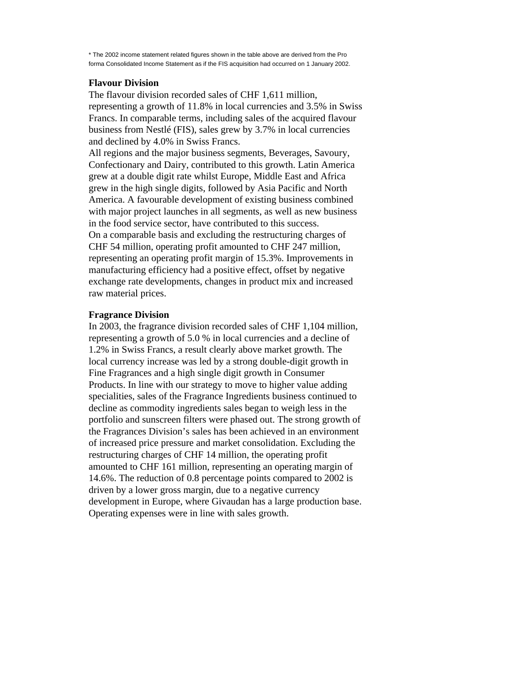\* The 2002 income statement related figures shown in the table above are derived from the Pro forma Consolidated Income Statement as if the FIS acquisition had occurred on 1 January 2002.

## **Flavour Division**

The flavour division recorded sales of CHF 1,611 million, representing a growth of 11.8% in local currencies and 3.5% in Swiss Francs. In comparable terms, including sales of the acquired flavour business from Nestlé (FIS), sales grew by 3.7% in local currencies and declined by 4.0% in Swiss Francs.

All regions and the major business segments, Beverages, Savoury, Confectionary and Dairy, contributed to this growth. Latin America grew at a double digit rate whilst Europe, Middle East and Africa grew in the high single digits, followed by Asia Pacific and North America. A favourable development of existing business combined with major project launches in all segments, as well as new business in the food service sector, have contributed to this success. On a comparable basis and excluding the restructuring charges of CHF 54 million, operating profit amounted to CHF 247 million, representing an operating profit margin of 15.3%. Improvements in manufacturing efficiency had a positive effect, offset by negative exchange rate developments, changes in product mix and increased raw material prices.

## **Fragrance Division**

In 2003, the fragrance division recorded sales of CHF 1,104 million, representing a growth of 5.0 % in local currencies and a decline of 1.2% in Swiss Francs, a result clearly above market growth. The local currency increase was led by a strong double-digit growth in Fine Fragrances and a high single digit growth in Consumer Products. In line with our strategy to move to higher value adding specialities, sales of the Fragrance Ingredients business continued to decline as commodity ingredients sales began to weigh less in the portfolio and sunscreen filters were phased out. The strong growth of the Fragrances Division's sales has been achieved in an environment of increased price pressure and market consolidation. Excluding the restructuring charges of CHF 14 million, the operating profit amounted to CHF 161 million, representing an operating margin of 14.6%. The reduction of 0.8 percentage points compared to 2002 is driven by a lower gross margin, due to a negative currency development in Europe, where Givaudan has a large production base. Operating expenses were in line with sales growth.